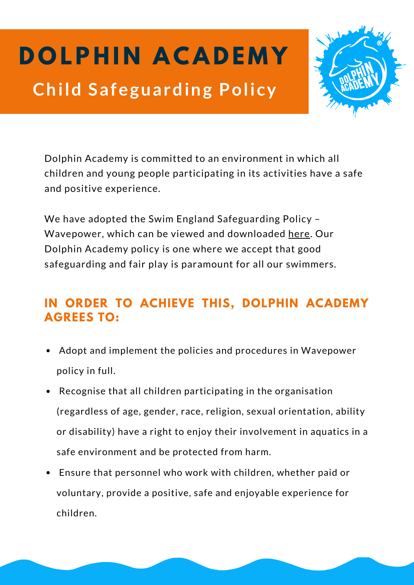## **D O LP H I N A C A D E M Y Child Safeguarding Policy**



Dolphin Academy is committed to an environment in which all children and young people participating in its activities have a safe and positive experience.

We have adopted the Swim England Safeguarding Policy – Wavepower, which can be viewed and downloaded [here](https://www.swimming.org/swimengland/wavepower-child-safeguarding-for-clubs/). Our Dolphin Academy policy is one where we accept that good safeguarding and fair play is paramount for all our swimmers.

## **IN ORDER TO ACHIEVE THIS, DOLPHIN ACADEMY AGREES TO:**

- Adopt and implement the policies and procedures in Wavepower policy in full.
- Recognise that all children participating in the organisation (regardless of age, gender, race, religion, sexual orientation, ability or disability) have a right to enjoy their involvement in aquatics in a safe environment and be protected from harm.
- Ensure that personnel who work with children, whether paid or voluntary, provide a positive, safe and enjoyable experience for children.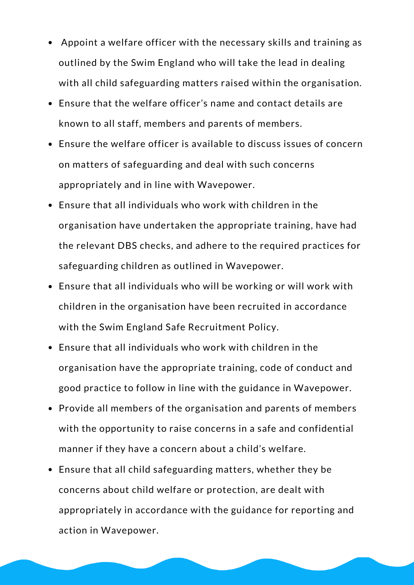- Appoint a welfare officer with the necessary skills and training as outlined by the Swim England who will take the lead in dealing with all child safeguarding matters raised within the organisation.
- Ensure that the welfare officer's name and contact details are known to all staff, members and parents of members.
- Ensure the welfare officer is available to discuss issues of concern on matters of safeguarding and deal with such concerns appropriately and in line with Wavepower.
- Ensure that all individuals who work with children in the organisation have undertaken the appropriate training, have had the relevant DBS checks, and adhere to the required practices for safeguarding children as outlined in Wavepower.
- Ensure that all individuals who will be working or will work with children in the organisation have been recruited in accordance with the Swim England Safe Recruitment Policy.
- Ensure that all individuals who work with children in the organisation have the appropriate training, code of conduct and good practice to follow in line with the guidance in Wavepower.
- Provide all members of the organisation and parents of members with the opportunity to raise concerns in a safe and confidential manner if they have a concern about a child's welfare.
- Ensure that all child safeguarding matters, whether they be concerns about child welfare or protection, are dealt with appropriately in accordance with the guidance for reporting and action in Wavepower.